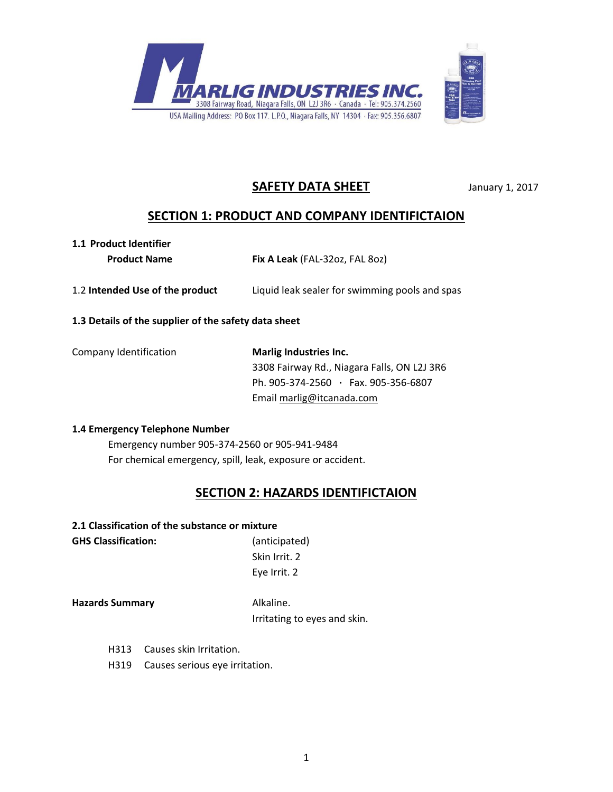



# **SAFETY DATA SHEET** January 1, 2017

# **SECTION 1: PRODUCT AND COMPANY IDENTIFICTAION**

# **1.1 Product Identifier**

 **Product Name Fix A Leak** (FAL-32oz, FAL 8oz)

1.2 **Intended Use of the product** Liquid leak sealer for swimming pools and spas

### **1.3 Details of the supplier of the safety data sheet**

| Company Identification | Marlig Industries Inc.                      |
|------------------------|---------------------------------------------|
|                        | 3308 Fairway Rd., Niagara Falls, ON L2J 3R6 |
|                        | Ph. 905-374-2560 · Fax. 905-356-6807        |
|                        | Email marlig@itcanada.com                   |

### **1.4 Emergency Telephone Number**

Emergency number 905-374-2560 or 905-941-9484 For chemical emergency, spill, leak, exposure or accident.

# **SECTION 2: HAZARDS IDENTIFICTAION**

### **2.1 Classification of the substance or mixture**

**GHS Classification:** (anticipated)

Skin Irrit. 2 Eye Irrit. 2

**Hazards Summary Alkaline.** 

Irritating to eyes and skin.

- H313 Causes skin Irritation.
- H319 Causes serious eye irritation.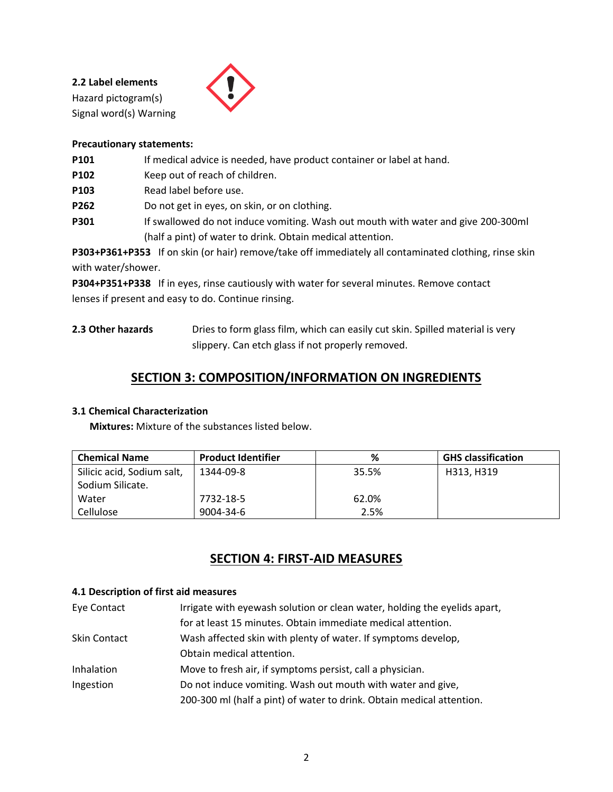**2.2 Label elements** Hazard pictogram(s) Signal word(s) Warning



### **Precautionary statements:**

- **P101** If medical advice is needed, have product container or label at hand.
- **P102** Keep out of reach of children.
- **P103** Read label before use.
- **P262** Do not get in eyes, on skin, or on clothing.
- P301 If swallowed do not induce vomiting. Wash out mouth with water and give 200-300ml (half a pint) of water to drink. Obtain medical attention.

**P303+P361+P353** If on skin (or hair) remove/take off immediately all contaminated clothing, rinse skin with water/shower.

**P304+P351+P338** If in eyes, rinse cautiously with water for several minutes. Remove contact lenses if present and easy to do. Continue rinsing.

2.3 Other hazards **Dries to form glass film, which can easily cut skin. Spilled material is very** slippery. Can etch glass if not properly removed.

# **SECTION 3: COMPOSITION/INFORMATION ON INGREDIENTS**

### **3.1 Chemical Characterization**

 **Mixtures:** Mixture of the substances listed below.

| <b>Chemical Name</b>       | <b>Product Identifier</b> | %     | <b>GHS classification</b> |
|----------------------------|---------------------------|-------|---------------------------|
| Silicic acid, Sodium salt, | 1344-09-8                 | 35.5% | H313, H319                |
| Sodium Silicate.           |                           |       |                           |
| Water                      | 7732-18-5                 | 62.0% |                           |
| Cellulose                  | 9004-34-6                 | 2.5%  |                           |

# **SECTION 4: FIRST-AID MEASURES**

#### **4.1 Description of first aid measures**

| Eye Contact         | Irrigate with eyewash solution or clean water, holding the eyelids apart, |
|---------------------|---------------------------------------------------------------------------|
|                     | for at least 15 minutes. Obtain immediate medical attention.              |
| <b>Skin Contact</b> | Wash affected skin with plenty of water. If symptoms develop,             |
|                     | Obtain medical attention.                                                 |
| Inhalation          | Move to fresh air, if symptoms persist, call a physician.                 |
| Ingestion           | Do not induce vomiting. Wash out mouth with water and give,               |
|                     | 200-300 ml (half a pint) of water to drink. Obtain medical attention.     |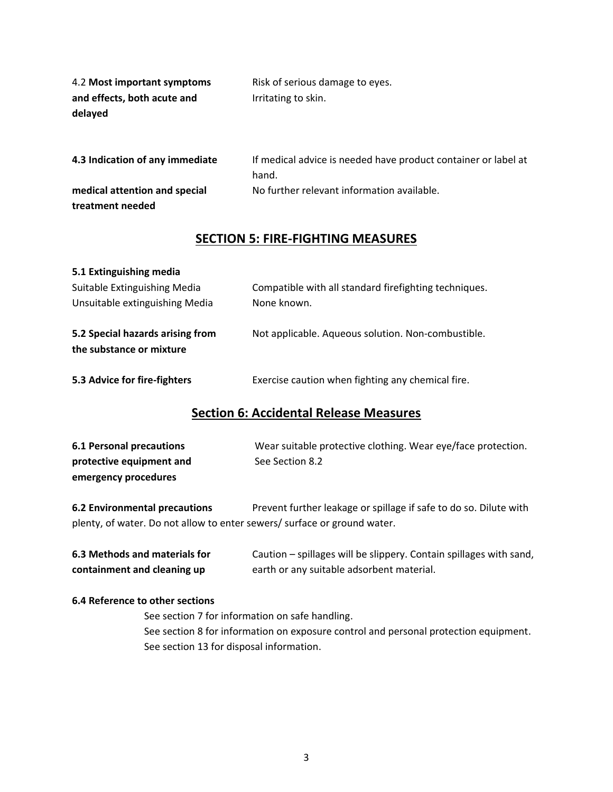| 4.2 Most important symptoms     | Risk of serious damage to eyes.                                |  |
|---------------------------------|----------------------------------------------------------------|--|
| and effects, both acute and     | Irritating to skin.                                            |  |
| delayed                         |                                                                |  |
|                                 |                                                                |  |
|                                 |                                                                |  |
| 4.3 Indication of any immediate | If medical advice is needed have product container or label at |  |
|                                 | hand.                                                          |  |
| medical attention and special   | No further relevant information available.                     |  |
| treatment needed                |                                                                |  |

# **SECTION 5: FIRE-FIGHTING MEASURES**

| 5.1 Extinguishing media          |                                                       |
|----------------------------------|-------------------------------------------------------|
| Suitable Extinguishing Media     | Compatible with all standard firefighting techniques. |
| Unsuitable extinguishing Media   | None known.                                           |
| 5.2 Special hazards arising from | Not applicable. Aqueous solution. Non-combustible.    |
| the substance or mixture         |                                                       |
| 5.3 Advice for fire-fighters     | Exercise caution when fighting any chemical fire.     |

## **Section 6: Accidental Release Measures**

| 6.1 Personal precautions | Wear suitable protective clothing. Wear eye/face protection. |
|--------------------------|--------------------------------------------------------------|
| protective equipment and | See Section 8.2                                              |
| emergency procedures     |                                                              |

**6.2 Environmental precautions** Prevent further leakage or spillage if safe to do so. Dilute with plenty, of water. Do not allow to enter sewers/ surface or ground water.

| 6.3 Methods and materials for | Caution – spillages will be slippery. Contain spillages with sand, |
|-------------------------------|--------------------------------------------------------------------|
| containment and cleaning up   | earth or any suitable adsorbent material.                          |

#### **6.4 Reference to other sections**

See section 7 for information on safe handling. See section 8 for information on exposure control and personal protection equipment. See section 13 for disposal information.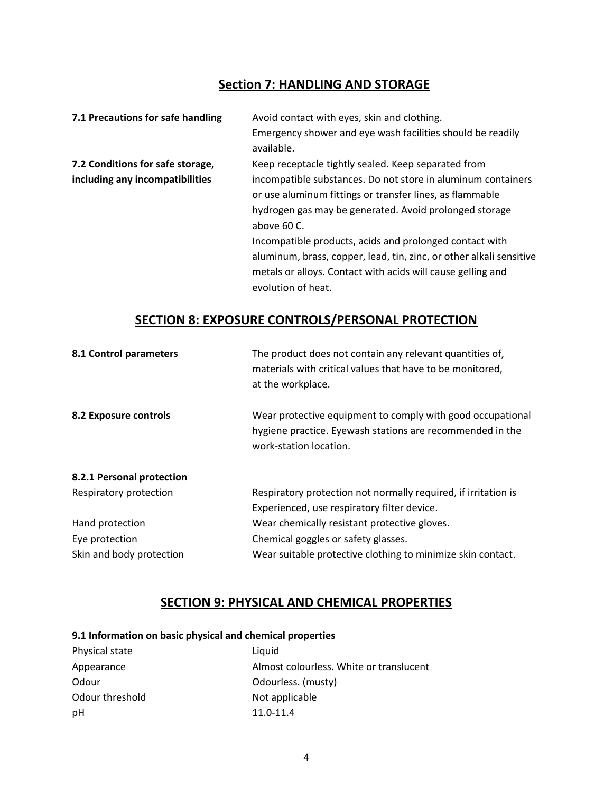# **Section 7: HANDLING AND STORAGE**

| 7.1 Precautions for safe handling | Avoid contact with eyes, skin and clothing.                         |
|-----------------------------------|---------------------------------------------------------------------|
|                                   | Emergency shower and eye wash facilities should be readily          |
|                                   | available.                                                          |
| 7.2 Conditions for safe storage,  | Keep receptacle tightly sealed. Keep separated from                 |
| including any incompatibilities   | incompatible substances. Do not store in aluminum containers        |
|                                   | or use aluminum fittings or transfer lines, as flammable            |
|                                   | hydrogen gas may be generated. Avoid prolonged storage              |
|                                   | above 60 C.                                                         |
|                                   | Incompatible products, acids and prolonged contact with             |
|                                   | aluminum, brass, copper, lead, tin, zinc, or other alkali sensitive |
|                                   | metals or alloys. Contact with acids will cause gelling and         |
|                                   | evolution of heat.                                                  |

# **SECTION 8: EXPOSURE CONTROLS/PERSONAL PROTECTION**

| 8.1 Control parameters    | The product does not contain any relevant quantities of,<br>materials with critical values that have to be monitored,<br>at the workplace.        |
|---------------------------|---------------------------------------------------------------------------------------------------------------------------------------------------|
| 8.2 Exposure controls     | Wear protective equipment to comply with good occupational<br>hygiene practice. Eyewash stations are recommended in the<br>work-station location. |
| 8.2.1 Personal protection |                                                                                                                                                   |
| Respiratory protection    | Respiratory protection not normally required, if irritation is                                                                                    |
|                           | Experienced, use respiratory filter device.                                                                                                       |
| Hand protection           | Wear chemically resistant protective gloves.                                                                                                      |
| Eye protection            | Chemical goggles or safety glasses.                                                                                                               |
| Skin and body protection  | Wear suitable protective clothing to minimize skin contact.                                                                                       |

# **SECTION 9: PHYSICAL AND CHEMICAL PROPERTIES**

## **9.1 Information on basic physical and chemical properties**

| Physical state  | Liquid                                  |
|-----------------|-----------------------------------------|
| Appearance      | Almost colourless. White or translucent |
| Odour           | Odourless. (musty)                      |
| Odour threshold | Not applicable                          |
| рH              | $11.0 - 11.4$                           |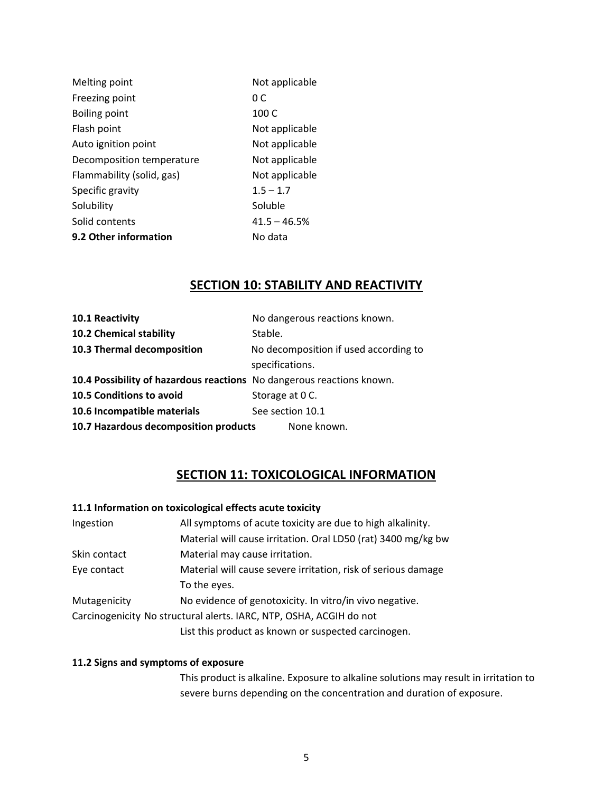| Not applicable |
|----------------|
| 0 C            |
| 100 C          |
| Not applicable |
| Not applicable |
| Not applicable |
| Not applicable |
| $1.5 - 1.7$    |
| Soluble        |
| $41.5 - 46.5%$ |
| No data        |
|                |

# **SECTION 10: STABILITY AND REACTIVITY**

| 10.1 Reactivity                                                       | No dangerous reactions known.         |
|-----------------------------------------------------------------------|---------------------------------------|
| 10.2 Chemical stability                                               | Stable.                               |
| 10.3 Thermal decomposition                                            | No decomposition if used according to |
|                                                                       | specifications.                       |
| 10.4 Possibility of hazardous reactions No dangerous reactions known. |                                       |
| 10.5 Conditions to avoid                                              | Storage at 0 C.                       |
| 10.6 Incompatible materials                                           | See section 10.1                      |
| 10.7 Hazardous decomposition products                                 | None known.                           |

# **SECTION 11: TOXICOLOGICAL INFORMATION**

### **11.1 Information on toxicological effects acute toxicity**

| Ingestion                                                           | All symptoms of acute toxicity are due to high alkalinity.    |  |
|---------------------------------------------------------------------|---------------------------------------------------------------|--|
|                                                                     | Material will cause irritation. Oral LD50 (rat) 3400 mg/kg bw |  |
| Skin contact                                                        | Material may cause irritation.                                |  |
| Eye contact                                                         | Material will cause severe irritation, risk of serious damage |  |
|                                                                     | To the eyes.                                                  |  |
| Mutagenicity                                                        | No evidence of genotoxicity. In vitro/in vivo negative.       |  |
| Carcinogenicity No structural alerts. IARC, NTP, OSHA, ACGIH do not |                                                               |  |
|                                                                     | List this product as known or suspected carcinogen.           |  |

### **11.2 Signs and symptoms of exposure**

This product is alkaline. Exposure to alkaline solutions may result in irritation to severe burns depending on the concentration and duration of exposure.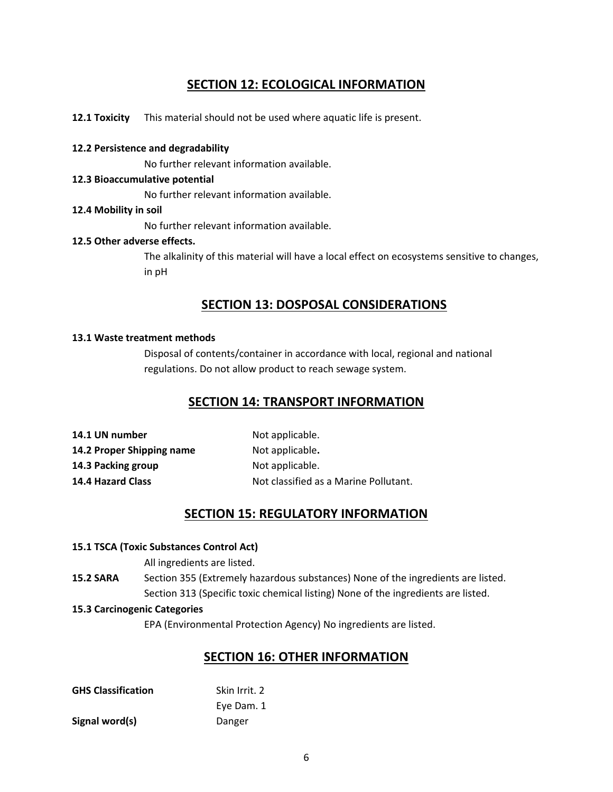# **SECTION 12: ECOLOGICAL INFORMATION**

**12.1 Toxicity** This material should not be used where aquatic life is present.

### **12.2 Persistence and degradability**

No further relevant information available.

### **12.3 Bioaccumulative potential**

No further relevant information available.

### **12.4 Mobility in soil**

No further relevant information available.

### **12.5 Other adverse effects.**

The alkalinity of this material will have a local effect on ecosystems sensitive to changes, in pH

# **SECTION 13: DOSPOSAL CONSIDERATIONS**

### **13.1 Waste treatment methods**

Disposal of contents/container in accordance with local, regional and national regulations. Do not allow product to reach sewage system.

## **SECTION 14: TRANSPORT INFORMATION**

| Not applicable.                       |
|---------------------------------------|
| Not applicable.                       |
| Not applicable.                       |
| Not classified as a Marine Pollutant. |
|                                       |

# **SECTION 15: REGULATORY INFORMATION**

### **15.1 TSCA (Toxic Substances Control Act)**

All ingredients are listed.

**15.2 SARA** Section 355 (Extremely hazardous substances) None of the ingredients are listed. Section 313 (Specific toxic chemical listing) None of the ingredients are listed.

#### **15.3 Carcinogenic Categories**

EPA (Environmental Protection Agency) No ingredients are listed.

### **SECTION 16: OTHER INFORMATION**

| <b>GHS Classification</b> | Skin Irrit. 2 |
|---------------------------|---------------|
|                           | Eye Dam. 1    |
| Signal word(s)            | Danger        |